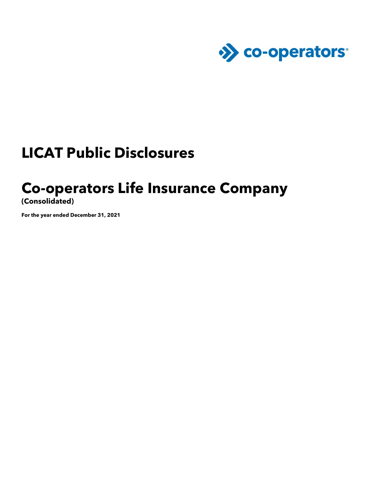

## **LICAT Public Disclosures**

## **Co-operators Life Insurance Company**

**(Consolidated)** 

**For the year ended December 31, 2021**